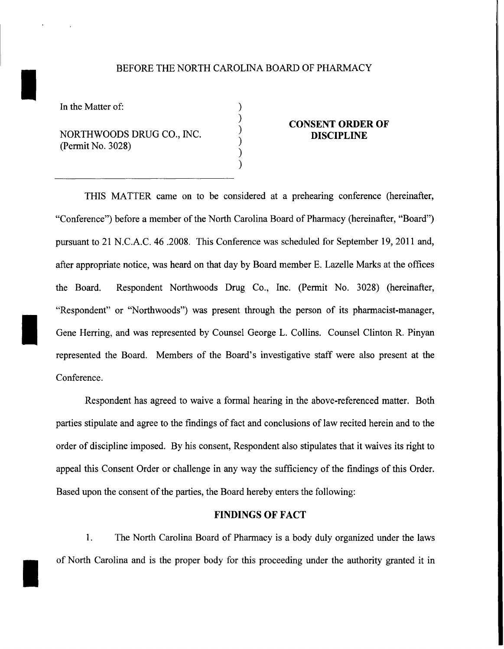### BEFORE THE NORTH CAROLINA BOARD OF PHARMACY

) ) ) ) ) )

In the Matter of:

I

I

I

NORTHWOODS DRUG CO., INC. (Permit No. 3028)

# **CONSENT ORDER OF DISCIPLINE**

THIS MATTER came on to be considered at a prehearing conference (hereinafter, "Conference") before a member of the North Carolina Board of Pharmacy (hereinafter, "Board") pursuant to 21 N.C.A.C. 46 .2008. This Conference was scheduled for September 19, 2011 and, after appropriate notice, was heard on that day by Board member E. Lazelle Marks at the offices the Board. Respondent Northwoods Drug Co., Inc. (Permit No. 3028) (hereinafter, "Respondent" or "Northwoods") was present through the person of its pharmacist-manager, Gene Herring, and was represented by Counsel George L. Collins. Counsel Clinton R. Pinyan represented the Board. Members of the Board's investigative staff were also present at the Conference.

Respondent has agreed to waive a formal hearing in the above-referenced matter. Both parties stipulate and agree to the findings of fact and conclusions of law recited herein and to the order of discipline imposed. By his consent, Respondent also stipulates that it waives its right to appeal this Consent Order or challenge in any way the sufficiency of the findings of this Order. Based upon the consent of the parties, the Board hereby enters the following:

## **FINDINGS OF FACT**

1. The North Carolina Board of Pharmacy is a body duly organized under the laws of North Carolina and is the proper body for this proceeding under the authority granted it in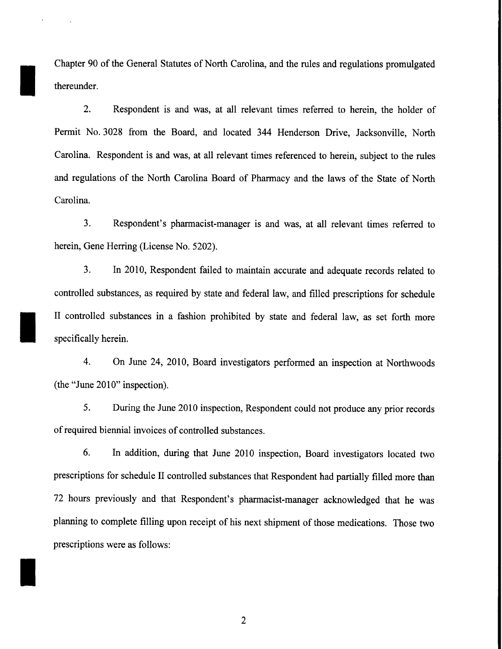Chapter 90 of the General Statutes of North Carolina, and the rules and regulations promulgated thereunder.

I

I

I

2. Respondent is and was, at all relevant times referred to herein, the holder of Permit No. 3028 from the Board, and located 344 Henderson Drive, Jacksonville, North Carolina. Respondent is and was, at all relevant times referenced to herein, subject to the rules and regulations of the North Carolina Board of Pharmacy and the laws of the State of North Carolina.

3. Respondent's pharmacist-manager is and was, at all relevant times referred to herein, Gene Herring (License No. 5202).

3. In 2010, Respondent failed to maintain accurate and adequate records related to controlled substances, as required by state and federal law, and filled prescriptions for schedule II controlled substances in a fashion prohibited by state and federal law, as set forth more specifically herein.

4. On June 24, 2010, Board investigators performed an inspection at Northwoods  $(the "June 2010" inspection).$ 

5. During the June 2010 inspection, Respondent could not produce any prior records of required biennial invoices of controlled substances.

6. In addition, during that June 2010 inspection, Board investigators located two prescriptions for schedule II controlled substances that Respondent had partially filled more than 72 hours previously and that Respondent's pharmacist-manager acknowledged that he was planning to complete filling upon receipt of his next shipment of those medications. Those two prescriptions were as follows: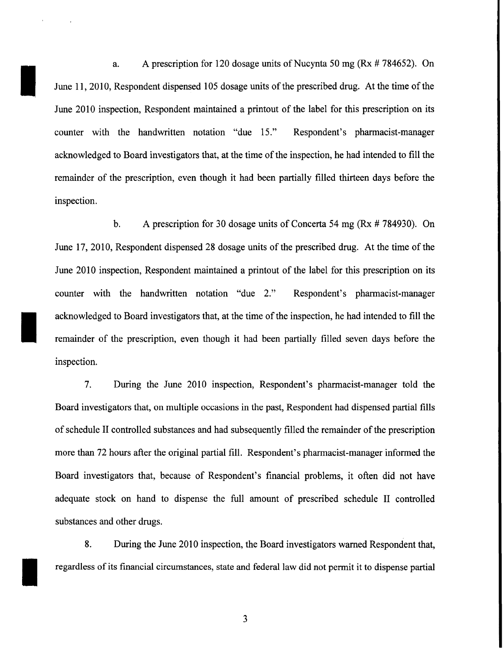a. A prescription for 120 dosage units of Nucynta 50 mg ( $Rx \# 784652$ ). On June 11, 2010, Respondent dispensed 105 dosage units of the prescribed drug. At the time of the June 2010 inspection, Respondent maintained a printout of the label for this prescription on its counter with the handwritten notation "due 15." Respondent's pharmacist-manager acknowledged to Board investigators that, at the time of the inspection, he had intended to fill the remainder of the prescription, even though it had been partially filled thirteen days before the inspection.

I

I

b. A prescription for 30 dosage units of Concerta 54 mg (Rx # 784930). On June 17, 2010, Respondent dispensed 28 dosage units of the prescribed drug. At the time of the June 2010 inspection, Respondent maintained a printout of the label for this prescription on its counter with the handwritten notation "due 2." Respondent's pharmacist-manager acknowledged to Board investigators that, at the time of the inspection, he had intended to fill the remainder of the prescription, even though it had been partially filled seven days before the inspection.

7. During the June 2010 inspection, Respondent's pharmacist-manager told the Board investigators that, on multiple occasions in the past, Respondent had dispensed partial fills of schedule II controlled substances and had subsequently filled the remainder of the prescription more than 72 hours after the original partial fill. Respondent's pharmacist-manager informed the Board investigators that, because of Respondent's financial problems, it often did not have adequate stock on hand to dispense the full amount of prescribed schedule II controlled substances and other drugs.

8. During the June 2010 inspection, the Board investigators warned Respondent that, regardless of its financial circumstances, state and federal law did not permit it to dispense partial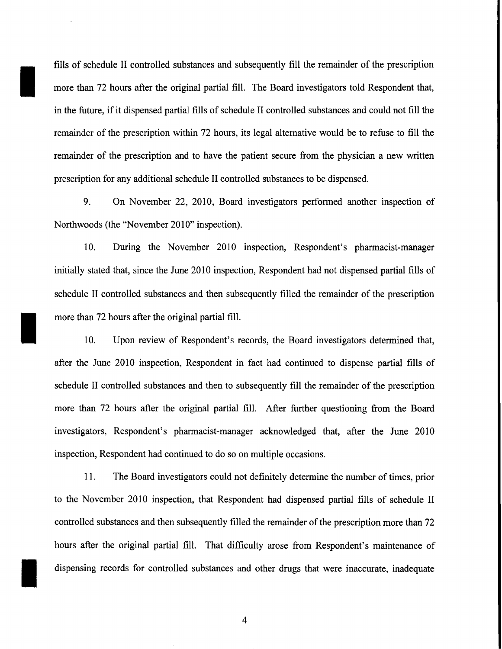fills of schedule II controlled substances and subsequently fill the remainder of the prescription more than 72 hours after the original partial fill. The Board investigators told Respondent that, in the future, if it dispensed partial fills of schedule II controlled substances and could not fill the remainder of the prescription within 72 hours, its legal alternative would be to refuse to fill the remainder of the prescription and to have the patient secure from the physician a new written prescription for any additional schedule II controlled substances to be dispensed.

I

I

9. On November 22, 2010, Board investigators performed another inspection of Northwoods (the "November 2010" inspection).

10. During the November 2010 inspection, Respondent's pharmacist-manager initially stated that, since the June 2010 inspection, Respondent had not dispensed partial fills of schedule II controlled substances and then subsequently filled the remainder of the prescription more than 72 hours after the original partial fill.

10. Upon review of Respondent's records, the Board investigators determined that, after the June 2010 inspection, Respondent in fact had continued to dispense partial fills of schedule II controlled substances and then to subsequently fill the remainder of the prescription more than 72 hours after the original partial fill. After further questioning from the Board investigators, Respondent's pharmacist-manager acknowledged that, after the June 2010 inspection, Respondent had continued to do so on multiple occasions.

11. The Board investigators could not definitely determine the number of times, prior to the November 2010 inspection, that Respondent had dispensed partial fills of schedule II controlled substances and then subsequently filled the remainder of the prescription more than 72 hours after the original partial fill. That difficulty arose from Respondent's maintenance of dispensing records for controlled substances and other drugs that were inaccurate, inadequate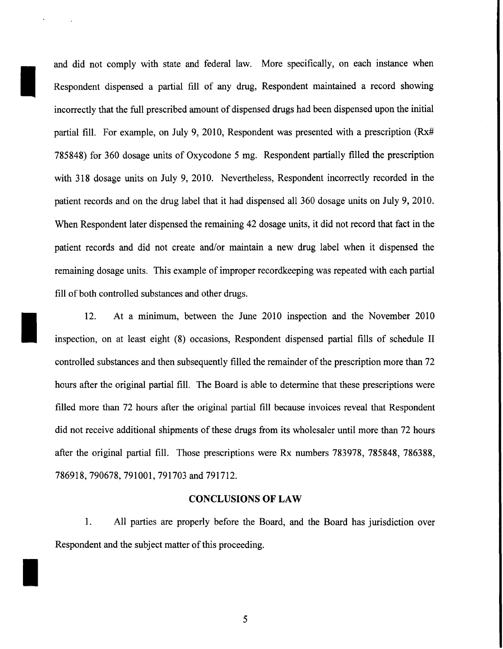and did not comply with state and federal law. More specifically, on each instance when Respondent dispensed a partial fill of any drug, Respondent maintained a record showing incorrectly that the full prescribed amount of dispensed drugs had been dispensed upon the initial partial fill. For example, on July 9, 2010, Respondent was presented with a prescription (Rx# 785848) for 360 dosage units of Oxycodone 5 mg. Respondent partially filled the prescription with 318 dosage units on July 9, 2010. Nevertheless, Respondent incorrectly recorded in the patient records and on the drug label that it had dispensed all 360 dosage units on July 9, 2010. When Respondent later dispensed the remaining 42 dosage units, it did not record that fact in the patient records and did not create and/or maintain a new drug label when it dispensed the remaining dosage units. This example of improper recordkeeping was repeated with each partial fill of both controlled substances and other drugs.

I

I

I

12. At a minimum, between the June 2010 inspection and the November 2010 inspection, on at least eight (8) occasions, Respondent dispensed partial fills of schedule II controlled substances and then subsequently filled the remainder of the prescription more than 72 hours after the original partial fill. The Board is able to determine that these prescriptions were filled more than 72 hours after the original partial fill because invoices reveal that Respondent did not receive additional shipments of these drugs from its wholesaler until more than 72 hours after the original partial fill. Those prescriptions were Rx numbers 783978, 785848, 786388, 786918, 790678, 791001, 791703 and 791712.

### **CONCLUSIONS OF LAW**

1. All parties are properly before the Board, and the Board has jurisdiction over Respondent and the subject matter of this proceeding.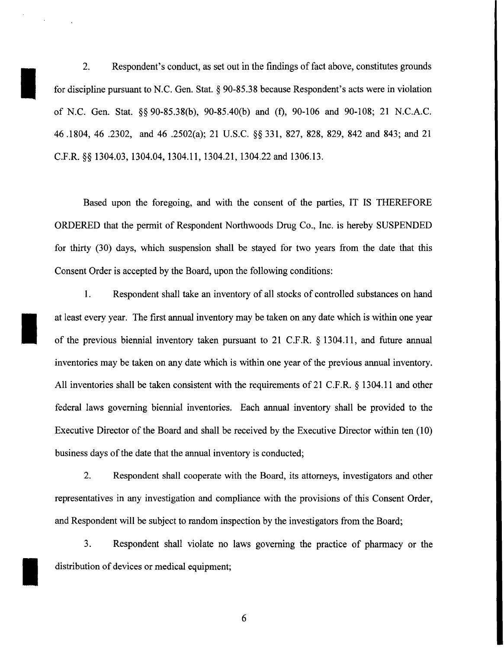2. Respondent's conduct, as set out in the findings of fact above, constitutes grounds for discipline pursuant to N.C. Gen. Stat. § 90-85.38 because Respondent's acts were in violation of N.C. Gen. Stat. §§ 90-85.38(b), 90-85.40(b) and (f), 90-106 and 90-108; 21 N.C.A.C. 46 .1804, 46 .2302, and 46 .2502(a); 21 U.S.C. §§ 331, 827, 828, 829, 842 and 843; and 21 C.P.R.§§ 1304.03, 1304.04, 1304.11, 1304.21, 1304.22 and 1306.13.

I

I

I

Based upon the foregoing, and with the consent of the parties, IT IS THEREFORE ORDERED that the permit of Respondent Northwoods Drug Co., Inc. is hereby SUSPENDED for thirty (30) days, which suspension shall be stayed for two years from the date that this Consent Order is accepted by the Board, upon the following conditions:

1. Respondent shall take an inventory of all stocks of controlled substances on hand at least every year. The first annual inventory may be taken on any date which is within one year of the previous biennial inventory taken pursuant to 21 C.P.R. § 1304.11, and future annual inventories may be taken on any date which is within one year of the previous annual inventory. All inventories shall be taken consistent with the requirements of 21 C.P.R. § 1304.11 and other federal laws governing biennial inventories. Each annual inventory shall be provided to the Executive Director of the Board and shall be received by the Executive Director within ten (10) business days of the date that the annual inventory is conducted;

2. Respondent shall cooperate with the Board, its attorneys, investigators and other representatives in any investigation and compliance with the provisions of this Consent Order, and Respondent will be subject to random inspection by the investigators from the Board;

3. Respondent shall violate no laws governing the practice of pharmacy or the distribution of devices or medical equipment;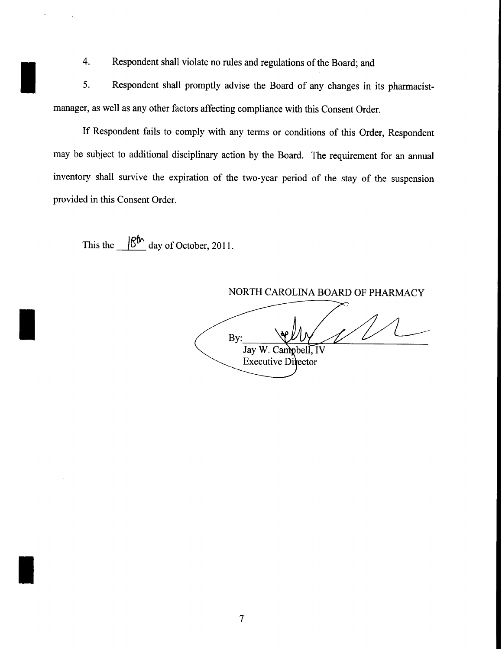4. Respondent shall violate no rules and regulations of the Board; and

5. Respondent shall promptly advise the Board of any changes in its pharmacistmanager, as well as any other factors affecting compliance with this Consent Order.

If Respondent fails to comply with any terms or conditions of this Order, Respondent may be subject to additional disciplinary action by the Board. The requirement for an annual inventory shall survive the expiration of the two-year period of the stay of the suspension provided in this Consent Order.

This the  $\frac{|\mathcal{B}^{\uparrow h}|}{|\mathcal{B}^{\uparrow h}|}$  day of October, 2011.

I

I

I

NORTH CAROLINA BOARD OF PHARMACY By: Jay W. Campbel  $\mathbf{I} \mathbf{V}$ **Executive Director**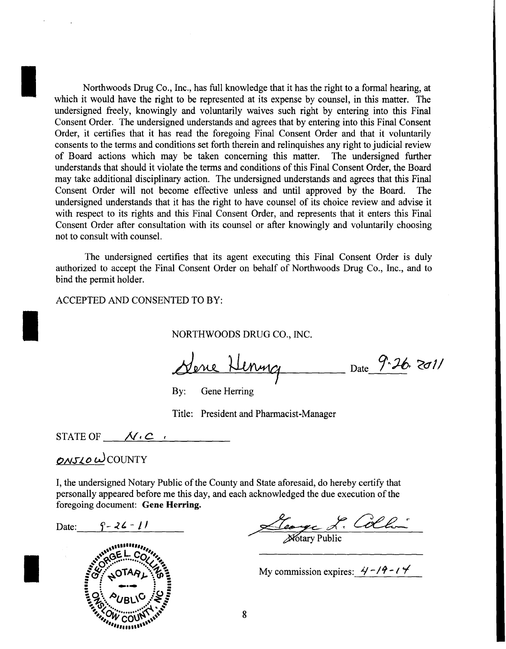Northwoods Drug Co., Inc., has full knowledge that it has the right to a formal hearing, at which it would have the right to be represented at its expense by counsel, in this matter. The undersigned freely, knowingly and voluntarily waives such right by entering into this Final Consent Order. The undersigned understands and agrees that by entering into this Final Consent Order, it certifies that it has read the foregoing Final Consent Order and that it voluntarily consents to the terms and conditions set forth therein and relinquishes any right to judicial review of Board actions which may be taken concerning this matter. The undersigned further understands that should it violate the terms and conditions of this Final Consent Order, the Board may take additional disciplinary action. The undersigned understands and agrees that this Final Consent Order will not become effective unless and until approved by the Board. The undersigned understands that it has the right to have counsel of its choice review and advise it with respect to its rights and this Final Consent Order, and represents that it enters this Final Consent Order after consultation with its counsel or after knowingly and voluntarily choosing not to consult with counsel.

The undersigned certifies that its agent executing this Final Consent Order is duly authorized to accept the Final Consent Order on behalf of Northwoods Drug Co., Inc., and to bind the permit holder.

ACCEPTED AND CONSENTED TO BY:

NORTHWOODS DRUG CO., INC.

<u>Nene Henry</u> Date 9-26-2011

By: Gene Herring

Title: President and Pharmacist-Manager

STATE OF  $\mathcal{N} \subset \mathcal{C}$ 

# $OMSLOW$ COUNTY

I

I

I

I, the undersigned Notary Public of the County and State aforesaid, do hereby certify that personally appeared before me this day, and each acknowledged the due execution of the foregoing document: Gene Herring.

Date:  $\int_{-\infty}^{\infty} 2\zeta - 1/\zeta$ 



<u>Leoyer L. Colla</u>

My commission expires:  $\frac{2}{7}$ - $\frac{19-14}{}$